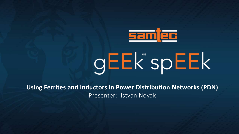

# **GEEK** spEEK

**Using Ferrites and Inductors in Power Distribution Networks (PDN)** Presenter: Istvan Novak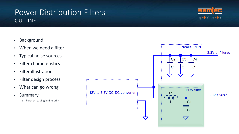### Power Distribution Filters **OUTLINE**



3.3V unfiltered

Parallel PDN:

- Background
- When we need a filter
- Typical noise sources
- Filter characteristics
- Filter illustrations
- Filter design process
- What can go wrong
- Summary
	- ✽ Further reading in fine print

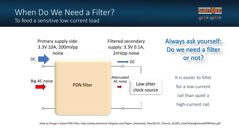## When Do We Need a Filter? To feed a sensitive low-current load





How to Design a Good PDN Filter, http://www.electrical-integrity.com/Paper\_download\_files/DC19\_Tutorial\_SLIDES\_HowToDesignGoodPDNFilter.pdf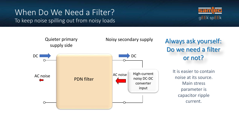## When Do We Need a Filter? To keep noise spilling out from noisy loads

![](_page_3_Picture_1.jpeg)

![](_page_3_Figure_2.jpeg)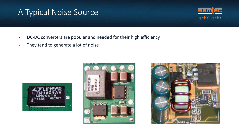## A Typical Noise Source

![](_page_4_Picture_1.jpeg)

- DC-DC converters are popular and needed for their high efficiency
- They tend to generate a lot of noise

![](_page_4_Picture_4.jpeg)

![](_page_4_Picture_5.jpeg)

![](_page_4_Picture_6.jpeg)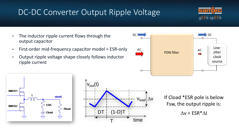## DC-DC Converter Output Ripple Voltage

![](_page_5_Picture_1.jpeg)

- The inductor ripple current flows through the output capacitor
- First-order mid-frequency capacitor model = ESR-only
- Output ripple voltage shape closely follows inductor ripple current

![](_page_5_Figure_5.jpeg)

![](_page_5_Figure_6.jpeg)

![](_page_5_Figure_7.jpeg)

If Cload \*ESR pole is below Fsw, the output ripple is:

$$
\Delta v = ESR^* \Delta I
$$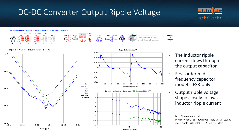## DC-DC Converter Output Ripple Voltage

![](_page_6_Picture_1.jpeg)

#### Time-domain harmonic composition of buck converter switching ripple

|       |  | OUTPUT CAPACITORS |                                                     |                   |               | Sweep |             |                             |       |                              |               |
|-------|--|-------------------|-----------------------------------------------------|-------------------|---------------|-------|-------------|-----------------------------|-------|------------------------------|---------------|
|       |  |                   |                                                     | Fmin [Hz] Vin [V] | Fsw Hzl       | Min   | D [%]       | Ripple [mVpp]               | m     |                              | <b>Number</b> |
| C IF1 |  |                   | 4.70E-04 4.70E-05 1.00E-05 1.00E-06 3.00E-09        | $1.00E + 03$      | $5.00F + 0.5$ |       | 8.33        |                             | 12.00 | istvan.novak@ieee.org        | of            |
|       |  |                   | R[Ohm] 1.00E-02 3.00E-03 1.00E-02 1.00E+06 1.00E+06 | Fmax [Hz] Vout M  |               | Max   | delta I IAI | Ripple est [mVpp] Ratio [-] |       | www.electrical-integrity.com | periods       |
| ∟ [H] |  |                   | 2.00E-09 2.00E-09 1.00E-09 1.00E-09 1.00E-10        | $100F + 08$       | L70E-07       |       | $3.9E + 00$ |                             | 1.57  |                              |               |
| N F   |  |                   |                                                     |                   |               |       |             |                             |       |                              |               |

![](_page_6_Figure_4.jpeg)

![](_page_6_Figure_5.jpeg)

• The inductor ripple current flows through the output capacitor

ds

- First-order midfrequency capacitor model = ESR-only
- Output ripple voltage shape closely follows inductor ripple current

http://www.electrical-

integrity.com/Tool\_download\_files/DC-DC\_steadystate-ripple\_WExcel2016-32-64b\_v09.xlsm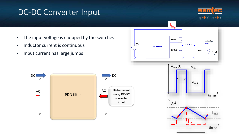## DC-DC Converter Input

![](_page_7_Picture_1.jpeg)

• The input voltage is chopped by the switches

 $DC \longrightarrow \bigcap_{i=1}^{\infty} DC$ 

AC ACC

- Inductor current is continuous
- Input current has large jumps

Œ.

 $\leftarrow$ 

 $\circ$ 

![](_page_7_Figure_5.jpeg)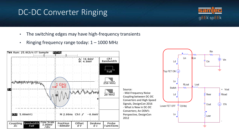## DC-DC Converter Ringing

![](_page_8_Picture_1.jpeg)

- The switching edges may have high-frequency transients
- Ringing frequency range today: 1 1000 MHz

![](_page_8_Figure_4.jpeg)

![](_page_8_Figure_5.jpeg)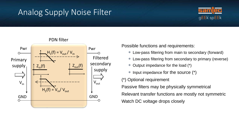## Analog Supply Noise Filter

![](_page_9_Picture_1.jpeg)

![](_page_9_Figure_2.jpeg)

PDN filter

Possible functions and requirements:

- Low-pass filtering from main to secondary (forward)
- Low-pass filtering from secondary to primary (reverse)
- Output impedance for the load (\*)
- $*$  Input impedance for the source  $(*)$
- (\*) Optional requirement

Passive filters may be physically symmetrical

Relevant transfer functions are mostly not symmetric Watch DC voltage drops closely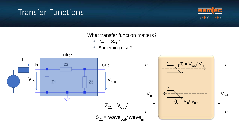## Transfer Functions

![](_page_10_Picture_1.jpeg)

What transfer function matters?

- $\ast$  Z<sub>21</sub> or S<sub>21</sub>?
- Something else?

![](_page_10_Figure_5.jpeg)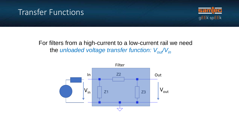## Transfer Functions

![](_page_11_Picture_1.jpeg)

#### For filters from a high-current to a low-current rail we need the *unloaded voltage transfer function: Vout/Vin*

![](_page_11_Figure_3.jpeg)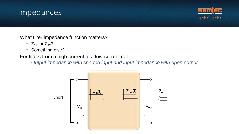## Impedances

![](_page_12_Picture_1.jpeg)

What filter impedance function matters?

- $\ast$  Z<sub>11</sub>, or Z<sub>22</sub>?
- Something else?

For filters from a high-current to a low-current rail:

*Output impedance with shorted input and input impedance with open output*

![](_page_12_Figure_7.jpeg)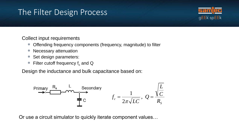## The Filter Design Process

![](_page_13_Picture_1.jpeg)

Collect input requirements

- Offending frequency components (frequency, magnitude) to filter
- Necessary attenuation
- Set design parameters:
- $*$  Filter cutoff frequency f<sub>c</sub> and Q

Design the inductance and bulk capacitance based on:

![](_page_13_Figure_8.jpeg)

Or use a circuit simulator to quickly iterate component values…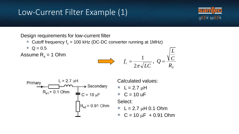## Low-Current Filter Example (1)

![](_page_14_Picture_1.jpeg)

Design requirements for low-current filter

- \* Cutoff frequency  $f_c = 100$  kHz (DC-DC converter running at 1MHz)
- $\sqrt{*}$  Q = 0.5

Assume  $R_s = 1$  Ohm

![](_page_14_Figure_6.jpeg)

![](_page_14_Figure_7.jpeg)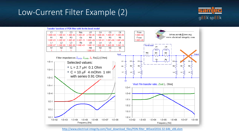## Low-Current Filter Example (2)

![](_page_15_Picture_1.jpeg)

![](_page_15_Figure_2.jpeg)

[http://www.electrical-integrity.com/Tool\\_download\\_files/PDN-filter\\_WExcel2016-32-64b\\_v06.xlsm](http://www.electrical-integrity.com/Tool_download_files/PDN-filter_WExcel2016-32-64b_v06.xlsm)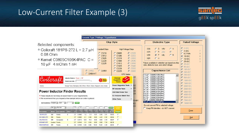## Low-Current Filter Example (3)

![](_page_16_Picture_1.jpeg)

|                                                                                                                                                                                      |                                           |                                                                                                                                    |                                      |                   |                    |                         |                      |                                                                                                        |                      | <b>Chip Style</b>          |                                                                                                                                                 |                   |                                       |                            |  |                                                                                                                                                                                                                                                                        | <b>Dielectric Type</b>  |  |  |  |                                                                                                |  | <b>Rated Voltage</b>                                                                 |      |  |
|--------------------------------------------------------------------------------------------------------------------------------------------------------------------------------------|-------------------------------------------|------------------------------------------------------------------------------------------------------------------------------------|--------------------------------------|-------------------|--------------------|-------------------------|----------------------|--------------------------------------------------------------------------------------------------------|----------------------|----------------------------|-------------------------------------------------------------------------------------------------------------------------------------------------|-------------------|---------------------------------------|----------------------------|--|------------------------------------------------------------------------------------------------------------------------------------------------------------------------------------------------------------------------------------------------------------------------|-------------------------|--|--|--|------------------------------------------------------------------------------------------------|--|--------------------------------------------------------------------------------------|------|--|
| Selected components:<br>* Coilcraft 181PS-272 L = 2.7 µH<br>0.08 Ohm<br>* Kemet C0805C106K4PAC C =<br>$10 \mu F$ 4 mOhm 1 nH                                                         |                                           |                                                                                                                                    |                                      |                   |                    |                         |                      |                                                                                                        |                      |                            |                                                                                                                                                 |                   |                                       |                            |  |                                                                                                                                                                                                                                                                        |                         |  |  |  |                                                                                                |  |                                                                                      |      |  |
|                                                                                                                                                                                      |                                           |                                                                                                                                    |                                      |                   |                    |                         |                      | <b>Standard Chips</b><br>$C$ $C1210$<br>$C$ $C1812$<br>C C1825<br>$C$ $C2220$<br>$C$ C <sub>2225</sub> |                      |                            | High Voltage Chips<br>$C$ $C2520$<br>$C$ $C0805$<br>C E3333<br>C C1206<br>C C3530<br>C C1210<br>$C$ $C$ 4040<br>C C1808<br>$C$ C1812<br>C C4540 |                   |                                       |                            |  | G<br>C V<br>CO <sub>G</sub><br><b>Y5V</b><br>$\epsilon$<br>$C$ R<br>$\epsilon$<br>X7R<br>25日<br>$G$ $P$<br>C N<br>X <sub>8L</sub><br>X5R<br>$C$ H<br>X <sub>8</sub> R<br>Values available in selection are based on chip<br>style, dielectric type, and rated voltage. |                         |  |  |  | $C$ 2VDC<br>$C$ 4 VDC<br>$C$ 6.3 Volts<br>$G$ 10 VDC<br>$C$ 16 VDC<br>$C$ 25 VDC<br>$C$ 35 VDC |  | $\overline{9}$<br>8<br>ß.                                                            |      |  |
|                                                                                                                                                                                      |                                           |                                                                                                                                    |                                      |                   |                    | $C$ CA052<br>C CA064-HT | Pittey               | $\epsilon$                                                                                             | CA064                |                            | $C$ C1825<br>$C$ C <sub>2220</sub><br>C C2225                                                                                                   | <b>KPS</b> Series | C C5440<br>$C$ $C5550$<br>$C$ $C6660$ |                            |  | 1.0 µF - C0805C105K3PAC                                                                                                                                                                                                                                                | <b>Capacitance List</b> |  |  |  |                                                                                                |  | $C$ 50 VDC<br>$C$ 100 VDC<br>C200VDC<br>$C$ 250 VDC                                  |      |  |
| Coilcraft<br>Home                                                                                                                                                                    |                                           | Inductor finders: Power   RF<br>Search our site:<br>Design Tools   Samples   Kits   Price + Stock   Sales   Support   Jobs   Index |                                      |                   |                    |                         |                      |                                                                                                        | <b>BUY</b><br>NOW    |                            | Design<br><b>Support</b><br>Tools<br><b>Power Magnetics Tools</b>                                                                               |                   | $\blacktriangledown$                  | 220<br>312                 |  | 1.2 uF - C0805C125K4PAC<br>1.5 µF - C0805C155K4PAC<br>1.8 uF - C0805C185K4PAC<br>2.2 uF - C0805C225K4PAC<br>2.7 uF - C0805C275K4PAC                                                                                                                                    |                         |  |  |  | $\blacktriangle$                                                                               |  | <b>6</b> 500 VDC<br>$C$ 1000 VDC<br>C 1500 VDC<br>$C$ 2000 VDC                       |      |  |
| <b>Power Inductor Finder Results</b><br>• These results do not imply an exact match to your requirements.<br>. We recommend that you request a free sample before an order is placed |                                           |                                                                                                                                    |                                      |                   |                    |                         |                      |                                                                                                        |                      |                            | <b>RF Inductor Tools</b><br><b>CM Filter Finder Tool</b><br><b>IC / Inductor Match Tool</b><br><b>Other Tools</b>                               |                   | ۰                                     | 325<br>220<br>225<br>02xBX |  | 3.3 uF - C0805C335K4PAC<br>4.7 uF - C0805C475K4PAC<br>4.7 uF - C0805C475K3PAC<br>5.6 uF - C0805C565K8PAC<br>6.8 uF - C0805C685K8PAC<br>8.2 uF - C0805C825K8PAC<br>10 µF - C0805C106K8PAC                                                                               |                         |  |  |  |                                                                                                |  | C 2500 VDC<br>$C$ 3000 VDC<br>$C$ 4000 VDC<br><b>C</b> 5000 VDC<br><b>6</b> 7500 VDC |      |  |
| Sort results by: Footprint - DCR                                                                                                                                                     |                                           | 图 -                                                                                                                                | Sort<br>$\langle \mathbf{w} \rangle$ |                   |                    |                         |                      |                                                                                                        |                      |                            |                                                                                                                                                 |                   |                                       | 402                        |  | 10 uF - C0805C106K4PAC<br>Do not convert PN to selected voltage.                                                                                                                                                                                                       |                         |  |  |  |                                                                                                |  | $C$ 10000 VDC                                                                        |      |  |
| <b>CONTRACTOR</b><br>Part number                                                                                                                                                     | Any a Any core<br>Mount<br>Core material  | $\overline{ }$<br>Other*                                                                                                           | 27                                   | 0.1<br>DCR<br>(D) | sat<br>(A)         | 729                     |                      |                                                                                                        |                      | Update<br>Price<br>@1,000  | impar<br>Pick 4 max<br>Compare                                                                                                                  |                   |                                       | ងាន                        |  | Keep PN identities - do NOT convert.                                                                                                                                                                                                                                   |                         |  |  |  |                                                                                                |  |                                                                                      | Done |  |
| 1812PS-272<br><b>SM</b>                                                                                                                                                              | Ferrite                                   | s                                                                                                                                  | 2.7                                  | 0.0800            | 1.4                | 2.3                     | 5.87                 | 4.98                                                                                                   | 3.81                 | \$0.83                     | г                                                                                                                                               |                   |                                       |                            |  |                                                                                                                                                                                                                                                                        |                         |  |  |  |                                                                                                |  |                                                                                      |      |  |
| DO1608C-272<br><b>SM</b><br>XAL7030-272<br><b>SM</b><br>RFB0807-2R7                                                                                                                  | Ferrite<br>Composite<br>Ferrite<br>Leaded | s                                                                                                                                  | 2.7<br>2.7 0.0173<br>27              | 0.0800<br>0.0140  | 2.1<br>12.8<br>5.5 | 2.45<br>11.4<br>6.54    | 6.60<br>8.00<br>8.80 | 4.45<br>8.00<br>8.80                                                                                   | 2.92<br>3.10<br>7.50 | \$0.64<br>\$0.87<br>\$0.30 | п<br>п                                                                                                                                          |                   |                                       |                            |  |                                                                                                                                                                                                                                                                        |                         |  |  |  |                                                                                                |  |                                                                                      | Quit |  |
| <b>SM</b><br>MSS1038T-252                                                                                                                                                            | Ferrite                                   | S                                                                                                                                  | 2.5 0.0100                           |                   | 9.26               | 6.65                    | 10.50                | 10.20                                                                                                  | 4.00                 | \$0.55                     | Л                                                                                                                                               |                   |                                       |                            |  |                                                                                                                                                                                                                                                                        |                         |  |  |  |                                                                                                |  |                                                                                      |      |  |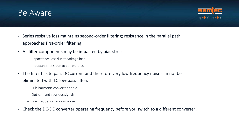## Be Aware

![](_page_17_Picture_1.jpeg)

- Series resistive loss maintains second-order filtering; resistance in the parallel path approaches first-order filtering
- All filter components may be impacted by bias stress
	- Capacitance loss due to voltage bias
	- Inductance loss due to current bias
- The filter has to pass DC current and therefore very low frequency noise can not be eliminated with LC low-pass filters
	- Sub-harmonic converter ripple
	- Out-of-band spurious signals
	- Low frequency random noise
- Check the DC-DC converter operating frequency before you switch to a different converter!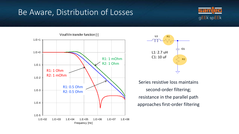## Be Aware, Distribution of Losses

![](_page_18_Picture_1.jpeg)

![](_page_18_Figure_2.jpeg)

![](_page_18_Figure_3.jpeg)

Series resistive loss maintains second-order filtering; resistance in the parallel path approaches first-order filtering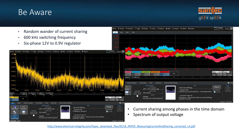## Be Aware

![](_page_19_Picture_1.jpeg)

![](_page_19_Figure_2.jpeg)

[http://www.electrical-integrity.com/Paper\\_download\\_files/DC18\\_PAPER\\_MeasuringCurrentAndSharing\\_corrected\\_v3.pdf](http://www.electrical-integrity.com/Paper_download_files/DC18_PAPER_MeasuringCurrentAndSharing_corrected_v3.pdf)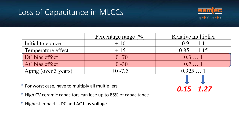## Loss of Capacitance in MLCCs

![](_page_20_Picture_1.jpeg)

*0.15 1.27*

|                      | Percentage range [%] | Relative multiplier |
|----------------------|----------------------|---------------------|
| Initial tolerance    | $+ -10$              | 0.91.1              |
| Temperature effect   | $+ -15$              | 0.851.15            |
| DC bias effect       | $+0 - 70$            | 0.31                |
| AC bias effect       | $+0 - 30$            | 0.71                |
| Aging (over 3 years) | $+0.7.5$             | 0.9251              |

- \* For worst case, have to multiply all multipliers
- \* High CV ceramic capacitors can lose up to 85% of capacitance
- \* Highest impact is DC and AC bias voltage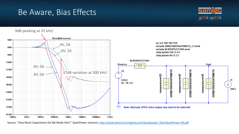## Be Aware, Bias Effects

![](_page_21_Picture_1.jpeg)

![](_page_21_Figure_2.jpeg)

Source: "How Much Capacitance Do We Really Get?," QuietPower columns, [http://www.electrical-integrity.com/Quietpower\\_files/QuietPower-40.pdf](http://www.electrical-integrity.com/Quietpower_files/QuietPower-40.pdf)